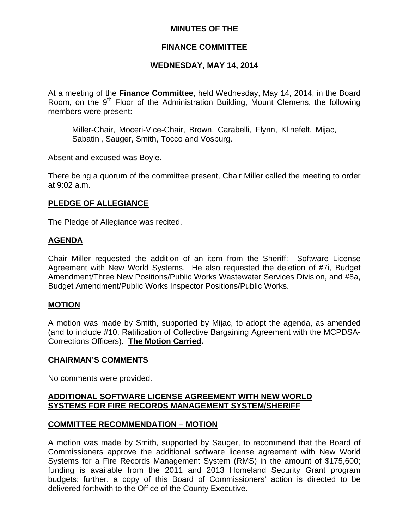## **MINUTES OF THE**

## **FINANCE COMMITTEE**

## **WEDNESDAY, MAY 14, 2014**

At a meeting of the **Finance Committee**, held Wednesday, May 14, 2014, in the Board Room, on the  $9<sup>th</sup>$  Floor of the Administration Building, Mount Clemens, the following members were present:

Miller-Chair, Moceri-Vice-Chair, Brown, Carabelli, Flynn, Klinefelt, Mijac, Sabatini, Sauger, Smith, Tocco and Vosburg.

Absent and excused was Boyle.

There being a quorum of the committee present, Chair Miller called the meeting to order at 9:02 a.m.

#### **PLEDGE OF ALLEGIANCE**

The Pledge of Allegiance was recited.

#### **AGENDA**

Chair Miller requested the addition of an item from the Sheriff: Software License Agreement with New World Systems. He also requested the deletion of #7i, Budget Amendment/Three New Positions/Public Works Wastewater Services Division, and #8a, Budget Amendment/Public Works Inspector Positions/Public Works.

#### **MOTION**

A motion was made by Smith, supported by Mijac, to adopt the agenda, as amended (and to include #10, Ratification of Collective Bargaining Agreement with the MCPDSA-Corrections Officers). **The Motion Carried.** 

#### **CHAIRMAN'S COMMENTS**

No comments were provided.

### **ADDITIONAL SOFTWARE LICENSE AGREEMENT WITH NEW WORLD SYSTEMS FOR FIRE RECORDS MANAGEMENT SYSTEM/SHERIFF**

#### **COMMITTEE RECOMMENDATION – MOTION**

A motion was made by Smith, supported by Sauger, to recommend that the Board of Commissioners approve the additional software license agreement with New World Systems for a Fire Records Management System (RMS) in the amount of \$175,600; funding is available from the 2011 and 2013 Homeland Security Grant program budgets; further, a copy of this Board of Commissioners' action is directed to be delivered forthwith to the Office of the County Executive.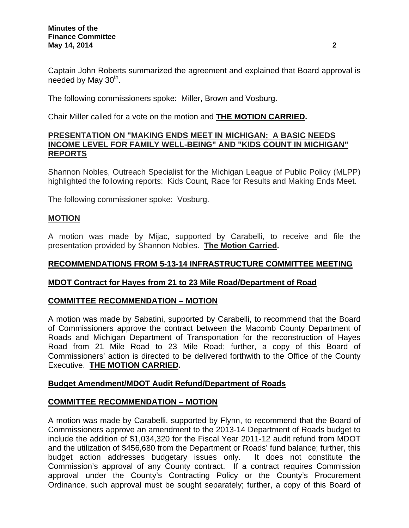Captain John Roberts summarized the agreement and explained that Board approval is needed by May  $30<sup>th</sup>$ .

The following commissioners spoke: Miller, Brown and Vosburg.

Chair Miller called for a vote on the motion and **THE MOTION CARRIED.**

## **PRESENTATION ON "MAKING ENDS MEET IN MICHIGAN: A BASIC NEEDS INCOME LEVEL FOR FAMILY WELL-BEING" AND "KIDS COUNT IN MICHIGAN" REPORTS**

Shannon Nobles, Outreach Specialist for the Michigan League of Public Policy (MLPP) highlighted the following reports: Kids Count, Race for Results and Making Ends Meet.

The following commissioner spoke: Vosburg.

## **MOTION**

A motion was made by Mijac, supported by Carabelli, to receive and file the presentation provided by Shannon Nobles. **The Motion Carried.** 

# **RECOMMENDATIONS FROM 5-13-14 INFRASTRUCTURE COMMITTEE MEETING**

## **MDOT Contract for Hayes from 21 to 23 Mile Road/Department of Road**

## **COMMITTEE RECOMMENDATION – MOTION**

A motion was made by Sabatini, supported by Carabelli, to recommend that the Board of Commissioners approve the contract between the Macomb County Department of Roads and Michigan Department of Transportation for the reconstruction of Hayes Road from 21 Mile Road to 23 Mile Road; further, a copy of this Board of Commissioners' action is directed to be delivered forthwith to the Office of the County Executive. **THE MOTION CARRIED.** 

## **Budget Amendment/MDOT Audit Refund/Department of Roads**

## **COMMITTEE RECOMMENDATION – MOTION**

A motion was made by Carabelli, supported by Flynn, to recommend that the Board of Commissioners approve an amendment to the 2013-14 Department of Roads budget to include the addition of \$1,034,320 for the Fiscal Year 2011-12 audit refund from MDOT and the utilization of \$456,680 from the Department or Roads' fund balance; further, this budget action addresses budgetary issues only. It does not constitute the Commission's approval of any County contract. If a contract requires Commission approval under the County's Contracting Policy or the County's Procurement Ordinance, such approval must be sought separately; further, a copy of this Board of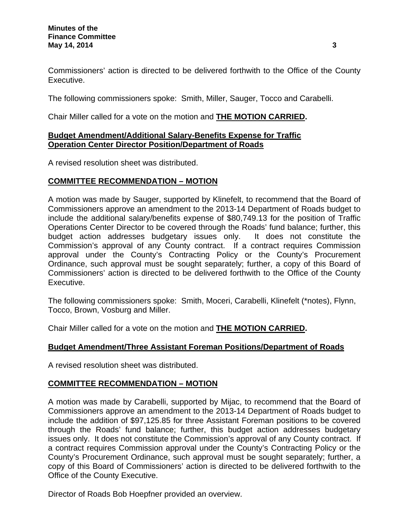Commissioners' action is directed to be delivered forthwith to the Office of the County Executive.

The following commissioners spoke: Smith, Miller, Sauger, Tocco and Carabelli.

Chair Miller called for a vote on the motion and **THE MOTION CARRIED.** 

# **Budget Amendment/Additional Salary-Benefits Expense for Traffic Operation Center Director Position/Department of Roads**

A revised resolution sheet was distributed.

# **COMMITTEE RECOMMENDATION – MOTION**

A motion was made by Sauger, supported by Klinefelt, to recommend that the Board of Commissioners approve an amendment to the 2013-14 Department of Roads budget to include the additional salary/benefits expense of \$80,749.13 for the position of Traffic Operations Center Director to be covered through the Roads' fund balance; further, this budget action addresses budgetary issues only. It does not constitute the Commission's approval of any County contract. If a contract requires Commission approval under the County's Contracting Policy or the County's Procurement Ordinance, such approval must be sought separately; further, a copy of this Board of Commissioners' action is directed to be delivered forthwith to the Office of the County Executive.

The following commissioners spoke: Smith, Moceri, Carabelli, Klinefelt (\*notes), Flynn, Tocco, Brown, Vosburg and Miller.

Chair Miller called for a vote on the motion and **THE MOTION CARRIED.** 

## **Budget Amendment/Three Assistant Foreman Positions/Department of Roads**

A revised resolution sheet was distributed.

## **COMMITTEE RECOMMENDATION – MOTION**

A motion was made by Carabelli, supported by Mijac, to recommend that the Board of Commissioners approve an amendment to the 2013-14 Department of Roads budget to include the addition of \$97,125.85 for three Assistant Foreman positions to be covered through the Roads' fund balance; further, this budget action addresses budgetary issues only. It does not constitute the Commission's approval of any County contract. If a contract requires Commission approval under the County's Contracting Policy or the County's Procurement Ordinance, such approval must be sought separately; further, a copy of this Board of Commissioners' action is directed to be delivered forthwith to the Office of the County Executive.

Director of Roads Bob Hoepfner provided an overview.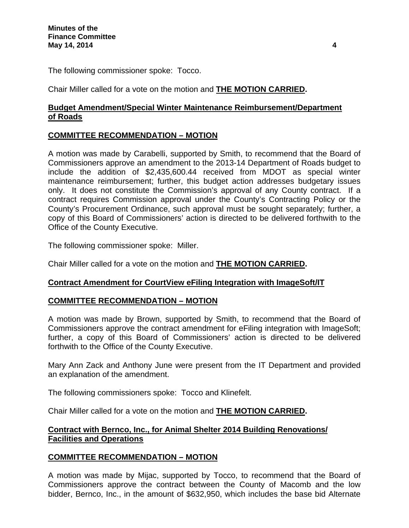The following commissioner spoke: Tocco.

Chair Miller called for a vote on the motion and **THE MOTION CARRIED.** 

# **Budget Amendment/Special Winter Maintenance Reimbursement/Department of Roads**

# **COMMITTEE RECOMMENDATION – MOTION**

A motion was made by Carabelli, supported by Smith, to recommend that the Board of Commissioners approve an amendment to the 2013-14 Department of Roads budget to include the addition of \$2,435,600.44 received from MDOT as special winter maintenance reimbursement; further, this budget action addresses budgetary issues only. It does not constitute the Commission's approval of any County contract. If a contract requires Commission approval under the County's Contracting Policy or the County's Procurement Ordinance, such approval must be sought separately; further, a copy of this Board of Commissioners' action is directed to be delivered forthwith to the Office of the County Executive.

The following commissioner spoke: Miller.

Chair Miller called for a vote on the motion and **THE MOTION CARRIED.** 

## **Contract Amendment for CourtView eFiling Integration with ImageSoft/IT**

## **COMMITTEE RECOMMENDATION – MOTION**

A motion was made by Brown, supported by Smith, to recommend that the Board of Commissioners approve the contract amendment for eFiling integration with ImageSoft; further, a copy of this Board of Commissioners' action is directed to be delivered forthwith to the Office of the County Executive.

Mary Ann Zack and Anthony June were present from the IT Department and provided an explanation of the amendment.

The following commissioners spoke: Tocco and Klinefelt.

Chair Miller called for a vote on the motion and **THE MOTION CARRIED.** 

### **Contract with Bernco, Inc., for Animal Shelter 2014 Building Renovations/ Facilities and Operations**

## **COMMITTEE RECOMMENDATION – MOTION**

A motion was made by Mijac, supported by Tocco, to recommend that the Board of Commissioners approve the contract between the County of Macomb and the low bidder, Bernco, Inc., in the amount of \$632,950, which includes the base bid Alternate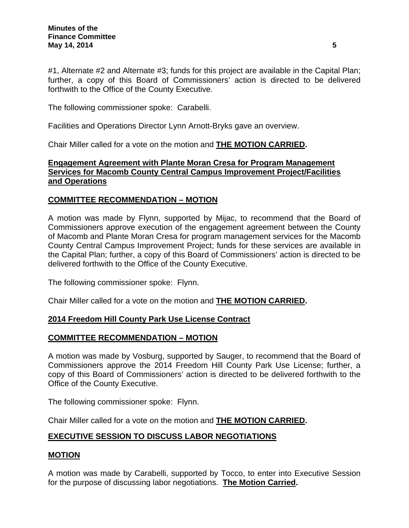#1, Alternate #2 and Alternate #3; funds for this project are available in the Capital Plan; further, a copy of this Board of Commissioners' action is directed to be delivered forthwith to the Office of the County Executive.

The following commissioner spoke: Carabelli.

Facilities and Operations Director Lynn Arnott-Bryks gave an overview.

Chair Miller called for a vote on the motion and **THE MOTION CARRIED.** 

## **Engagement Agreement with Plante Moran Cresa for Program Management Services for Macomb County Central Campus Improvement Project/Facilities and Operations**

# **COMMITTEE RECOMMENDATION – MOTION**

A motion was made by Flynn, supported by Mijac, to recommend that the Board of Commissioners approve execution of the engagement agreement between the County of Macomb and Plante Moran Cresa for program management services for the Macomb County Central Campus Improvement Project; funds for these services are available in the Capital Plan; further, a copy of this Board of Commissioners' action is directed to be delivered forthwith to the Office of the County Executive.

The following commissioner spoke: Flynn.

Chair Miller called for a vote on the motion and **THE MOTION CARRIED.** 

## **2014 Freedom Hill County Park Use License Contract**

## **COMMITTEE RECOMMENDATION – MOTION**

A motion was made by Vosburg, supported by Sauger, to recommend that the Board of Commissioners approve the 2014 Freedom Hill County Park Use License; further, a copy of this Board of Commissioners' action is directed to be delivered forthwith to the Office of the County Executive.

The following commissioner spoke: Flynn.

Chair Miller called for a vote on the motion and **THE MOTION CARRIED.** 

# **EXECUTIVE SESSION TO DISCUSS LABOR NEGOTIATIONS**

## **MOTION**

A motion was made by Carabelli, supported by Tocco, to enter into Executive Session for the purpose of discussing labor negotiations. **The Motion Carried.**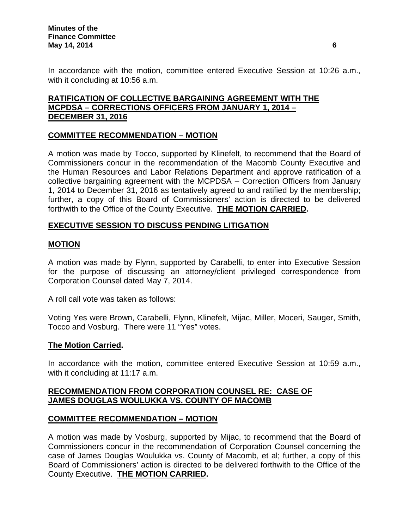In accordance with the motion, committee entered Executive Session at 10:26 a.m., with it concluding at 10:56 a.m.

# **RATIFICATION OF COLLECTIVE BARGAINING AGREEMENT WITH THE MCPDSA – CORRECTIONS OFFICERS FROM JANUARY 1, 2014 – DECEMBER 31, 2016**

# **COMMITTEE RECOMMENDATION – MOTION**

A motion was made by Tocco, supported by Klinefelt, to recommend that the Board of Commissioners concur in the recommendation of the Macomb County Executive and the Human Resources and Labor Relations Department and approve ratification of a collective bargaining agreement with the MCPDSA – Correction Officers from January 1, 2014 to December 31, 2016 as tentatively agreed to and ratified by the membership; further, a copy of this Board of Commissioners' action is directed to be delivered forthwith to the Office of the County Executive. **THE MOTION CARRIED.** 

# **EXECUTIVE SESSION TO DISCUSS PENDING LITIGATION**

## **MOTION**

A motion was made by Flynn, supported by Carabelli, to enter into Executive Session for the purpose of discussing an attorney/client privileged correspondence from Corporation Counsel dated May 7, 2014.

A roll call vote was taken as follows:

Voting Yes were Brown, Carabelli, Flynn, Klinefelt, Mijac, Miller, Moceri, Sauger, Smith, Tocco and Vosburg. There were 11 "Yes" votes.

#### **The Motion Carried.**

In accordance with the motion, committee entered Executive Session at 10:59 a.m., with it concluding at 11:17 a.m.

### **RECOMMENDATION FROM CORPORATION COUNSEL RE: CASE OF JAMES DOUGLAS WOULUKKA VS. COUNTY OF MACOMB**

#### **COMMITTEE RECOMMENDATION – MOTION**

A motion was made by Vosburg, supported by Mijac, to recommend that the Board of Commissioners concur in the recommendation of Corporation Counsel concerning the case of James Douglas Woulukka vs. County of Macomb, et al; further, a copy of this Board of Commissioners' action is directed to be delivered forthwith to the Office of the County Executive. **THE MOTION CARRIED.**